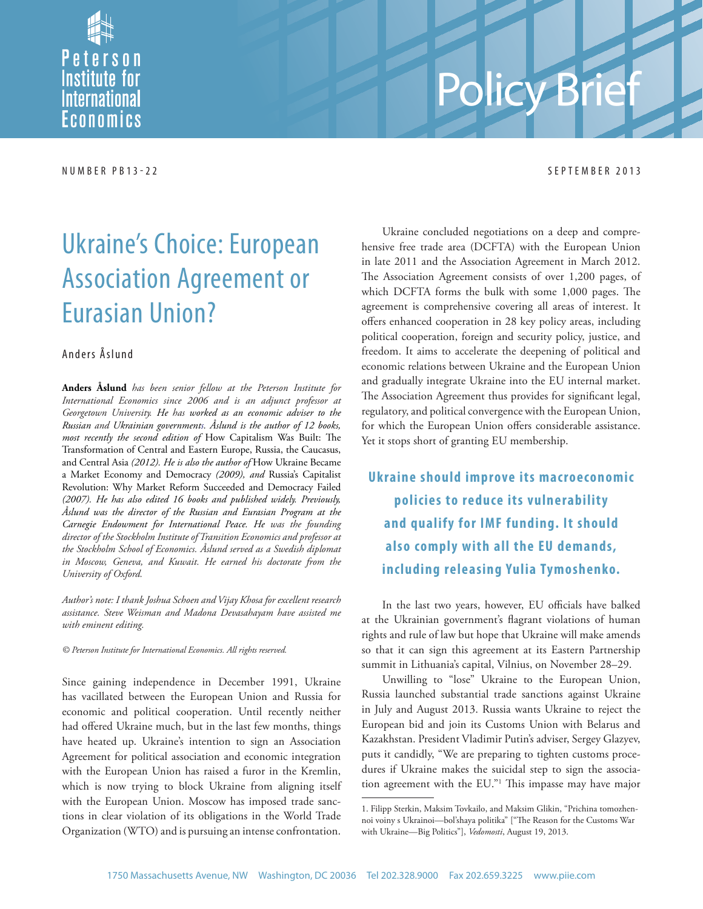Peterson **Institute for** *<u>International</u>* Economics

# Policy Brie

#### NUMBER PB13-22 SEPTEMBER 2013

## Ukraine's Choice: European Association Agreement or Eurasian Union?

#### Anders Åslund

**Anders Åslund** *has been senior fellow at the Peterson Institute for International Economics since 2006 and is an adjunct professor at Georgetown University. He has worked as an economic adviser to the Russian and Ukrainian governments. Åslund is the author of 12 books, most recently the second edition of* How Capitalism Was Built: The Transformation of Central and Eastern Europe, Russia, the Caucasus, and Central Asia *(2012). He is also the author of* How Ukraine Became a Market Economy and Democracy *(2009), and* Russia's Capitalist Revolution: Why Market Reform Succeeded and Democracy Failed *(2007). He has also edited 16 books and published widely. Previously, Åslund was the director of the Russian and Eurasian Program at the Carnegie Endowment for International Peace. He was the founding director of the Stockholm Institute of Transition Economics and professor at the Stockholm School of Economics. Åslund served as a Swedish diplomat in Moscow, Geneva, and Kuwait. He earned his doctorate from the University of Oxford.*

*Author's note: I thank Joshua Schoen and Vijay Khosa for excellent research assistance. Steve Weisman and Madona Devasahayam have assisted me with eminent editing.*

*© Peterson Institute for International Economics. All rights reserved.*

Since gaining independence in December 1991, Ukraine has vacillated between the European Union and Russia for economic and political cooperation. Until recently neither had offered Ukraine much, but in the last few months, things have heated up. Ukraine's intention to sign an Association Agreement for political association and economic integration with the European Union has raised a furor in the Kremlin, which is now trying to block Ukraine from aligning itself with the European Union. Moscow has imposed trade sanctions in clear violation of its obligations in the World Trade Organization (WTO) and is pursuing an intense confrontation.

Ukraine concluded negotiations on a deep and comprehensive free trade area (DCFTA) with the European Union in late 2011 and the Association Agreement in March 2012. The Association Agreement consists of over 1,200 pages, of which DCFTA forms the bulk with some  $1,000$  pages. The agreement is comprehensive covering all areas of interest. It offers enhanced cooperation in 28 key policy areas, including political cooperation, foreign and security policy, justice, and freedom. It aims to accelerate the deepening of political and economic relations between Ukraine and the European Union and gradually integrate Ukraine into the EU internal market. The Association Agreement thus provides for significant legal, regulatory, and political convergence with the European Union, for which the European Union offers considerable assistance. Yet it stops short of granting EU membership.

**Ukraine should improve its macroeconomic policies to reduce its vulnerability and qualify for IMF funding. It should also comply with all the EU demands, including releasing Yulia Tymoshenko.**

In the last two years, however, EU officials have balked at the Ukrainian government's flagrant violations of human rights and rule of law but hope that Ukraine will make amends so that it can sign this agreement at its Eastern Partnership summit in Lithuania's capital, Vilnius, on November 28–29.

Unwilling to "lose" Ukraine to the European Union, Russia launched substantial trade sanctions against Ukraine in July and August 2013. Russia wants Ukraine to reject the European bid and join its Customs Union with Belarus and Kazakhstan. President Vladimir Putin's adviser, Sergey Glazyev, puts it candidly, "We are preparing to tighten customs procedures if Ukraine makes the suicidal step to sign the association agreement with the EU."<sup>1</sup> This impasse may have major

<sup>1.</sup> Filipp Sterkin, Maksim Tovkailo, and Maksim Glikin, "Prichina tomozhennoi voiny s Ukrainoi-bol'shaya politika" ["The Reason for the Customs War with Ukraine—Big Politics"], *Vedomosti*, August 19, 2013.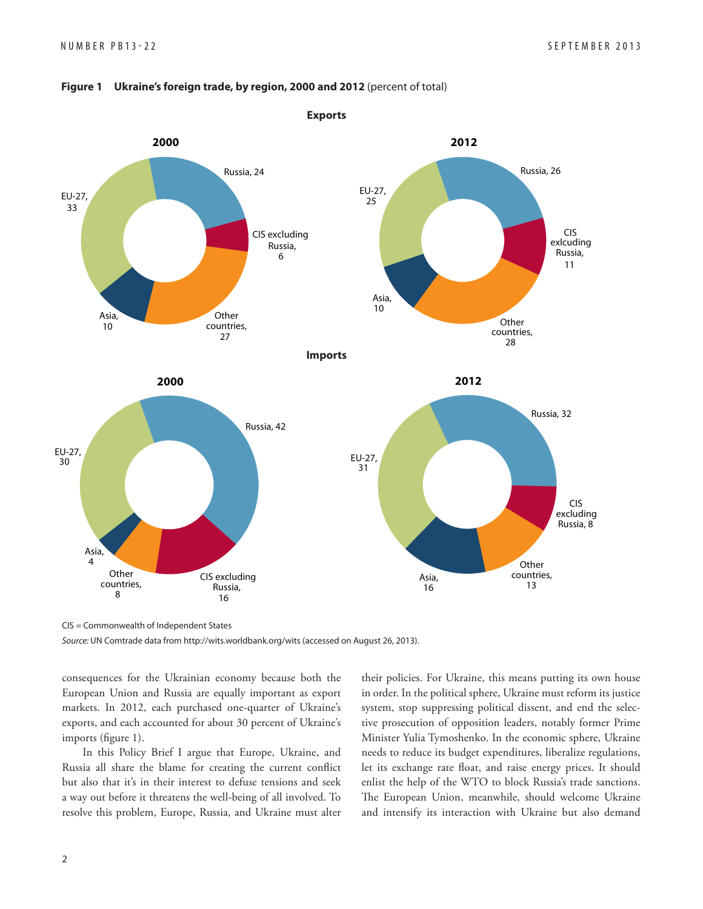

#### **Figure 1 Ukraine's foreign trade, by region, 2000 and 2012** (percent of total)

CIS = Commonwealth of Independent States

Source: UN Comtrade data from http://wits.worldbank.org/wits (accessed on August 26, 2013).

consequences for the Ukrainian economy because both the European Union and Russia are equally important as export markets. In 2012, each purchased one-quarter of Ukraine's exports, and each accounted for about 30 percent of Ukraine's imports (figure 1).

In this Policy Brief I argue that Europe, Ukraine, and Russia all share the blame for creating the current conflict but also that it's in their interest to defuse tensions and seek a way out before it threatens the well-being of all involved. To resolve this problem, Europe, Russia, and Ukraine must alter their policies. For Ukraine, this means putting its own house in order. In the political sphere, Ukraine must reform its justice system, stop suppressing political dissent, and end the selective prosecution of opposition leaders, notably former Prime Minister Yulia Tymoshenko. In the economic sphere, Ukraine needs to reduce its budget expenditures, liberalize regulations, let its exchange rate float, and raise energy prices. It should enlist the help of the WTO to block Russia's trade sanctions. The European Union, meanwhile, should welcome Ukraine and intensify its interaction with Ukraine but also demand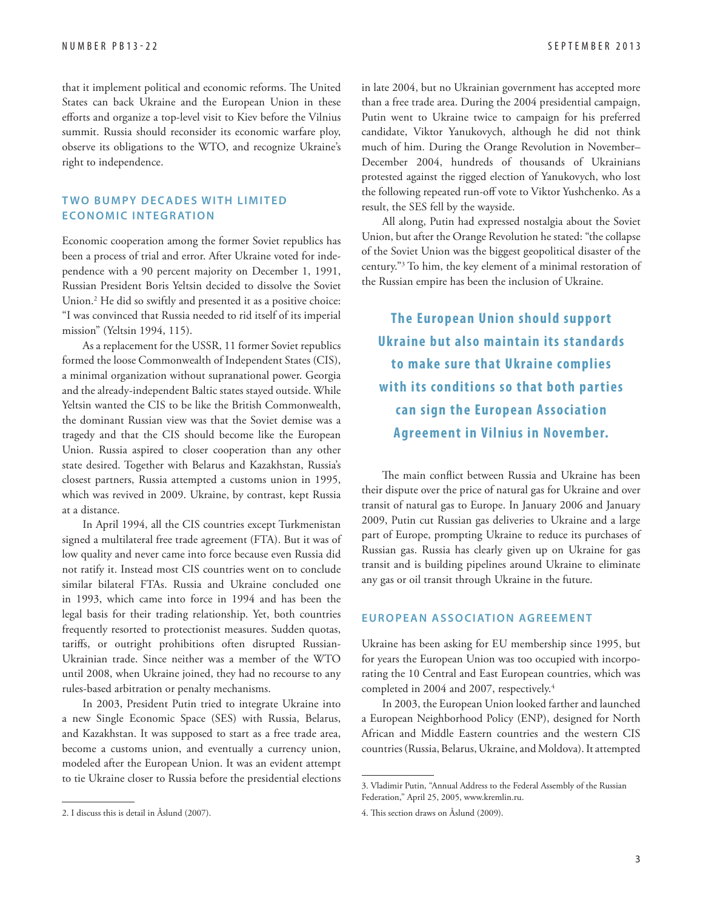that it implement political and economic reforms. The United States can back Ukraine and the European Union in these efforts and organize a top-level visit to Kiev before the Vilnius summit. Russia should reconsider its economic warfare ploy, observe its obligations to the WTO, and recognize Ukraine's right to independence.

#### **TWO BUMPY DECADES WITH LIMITED ECONOMIC INTEGRATION**

Economic cooperation among the former Soviet republics has been a process of trial and error. After Ukraine voted for independence with a 90 percent majority on December 1, 1991, Russian President Boris Yeltsin decided to dissolve the Soviet Union.2 He did so swiftly and presented it as a positive choice: "I was convinced that Russia needed to rid itself of its imperial mission" (Yeltsin 1994, 115).

As a replacement for the USSR, 11 former Soviet republics formed the loose Commonwealth of Independent States (CIS), a minimal organization without supranational power. Georgia and the already-independent Baltic states stayed outside. While Yeltsin wanted the CIS to be like the British Commonwealth, the dominant Russian view was that the Soviet demise was a tragedy and that the CIS should become like the European Union. Russia aspired to closer cooperation than any other state desired. Together with Belarus and Kazakhstan, Russia's closest partners, Russia attempted a customs union in 1995, which was revived in 2009. Ukraine, by contrast, kept Russia at a distance.

In April 1994, all the CIS countries except Turkmenistan signed a multilateral free trade agreement (FTA). But it was of low quality and never came into force because even Russia did not ratify it. Instead most CIS countries went on to conclude similar bilateral FTAs. Russia and Ukraine concluded one in 1993, which came into force in 1994 and has been the legal basis for their trading relationship. Yet, both countries frequently resorted to protectionist measures. Sudden quotas, tariffs, or outright prohibitions often disrupted Russian-Ukrainian trade. Since neither was a member of the WTO until 2008, when Ukraine joined, they had no recourse to any rules-based arbitration or penalty mechanisms.

In 2003, President Putin tried to integrate Ukraine into a new Single Economic Space (SES) with Russia, Belarus, and Kazakhstan. It was supposed to start as a free trade area, become a customs union, and eventually a currency union, modeled after the European Union. It was an evident attempt to tie Ukraine closer to Russia before the presidential elections in late 2004, but no Ukrainian government has accepted more than a free trade area. During the 2004 presidential campaign, Putin went to Ukraine twice to campaign for his preferred candidate, Viktor Yanukovych, although he did not think much of him. During the Orange Revolution in November– December 2004, hundreds of thousands of Ukrainians protested against the rigged election of Yanukovych, who lost the following repeated run-off vote to Viktor Yushchenko. As a result, the SES fell by the wayside.

All along, Putin had expressed nostalgia about the Soviet Union, but after the Orange Revolution he stated: "the collapse of the Soviet Union was the biggest geopolitical disaster of the century."3 To him, the key element of a minimal restoration of the Russian empire has been the inclusion of Ukraine.

**The European Union should support Ukraine but also maintain its standards to make sure that Ukraine complies with its conditions so that both par ties c an sign the European A ssociation Agreement in Vilnius in November.** 

The main conflict between Russia and Ukraine has been their dispute over the price of natural gas for Ukraine and over transit of natural gas to Europe. In January 2006 and January 2009, Putin cut Russian gas deliveries to Ukraine and a large part of Europe, prompting Ukraine to reduce its purchases of Russian gas. Russia has clearly given up on Ukraine for gas transit and is building pipelines around Ukraine to eliminate any gas or oil transit through Ukraine in the future.

#### **EUROPEAN ASSOCIATION AGREEMENT**

Ukraine has been asking for EU membership since 1995, but for years the European Union was too occupied with incorporating the 10 Central and East European countries, which was completed in 2004 and 2007, respectively.<sup>4</sup>

In 2003, the European Union looked farther and launched a European Neighborhood Policy (ENP), designed for North African and Middle Eastern countries and the western CIS countries (Russia, Belarus, Ukraine, and Moldova). It attempted

<sup>2.</sup> I discuss this is detail in Åslund (2007).

<sup>3.</sup> Vladimir Putin, "Annual Address to the Federal Assembly of the Russian Federation," April 25, 2005, www.kremlin.ru.

<sup>4.</sup> This section draws on Åslund (2009).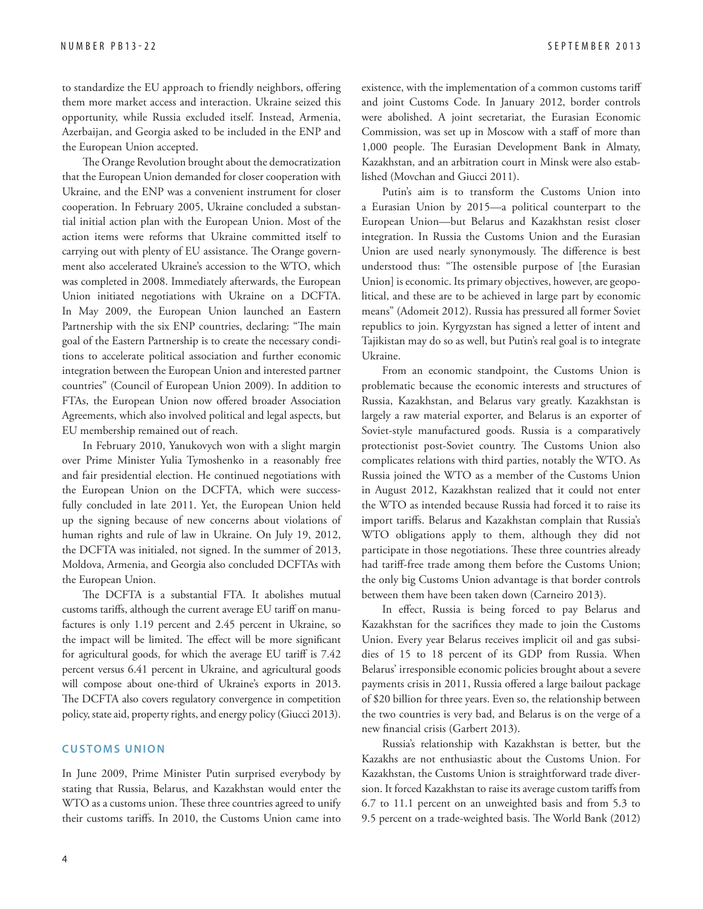to standardize the EU approach to friendly neighbors, offering them more market access and interaction. Ukraine seized this opportunity, while Russia excluded itself. Instead, Armenia, Azerbaijan, and Georgia asked to be included in the ENP and the European Union accepted.

The Orange Revolution brought about the democratization that the European Union demanded for closer cooperation with Ukraine, and the ENP was a convenient instrument for closer cooperation. In February 2005, Ukraine concluded a substantial initial action plan with the European Union. Most of the action items were reforms that Ukraine committed itself to carrying out with plenty of EU assistance. The Orange government also accelerated Ukraine's accession to the WTO, which was completed in 2008. Immediately afterwards, the European Union initiated negotiations with Ukraine on a DCFTA. In May 2009, the European Union launched an Eastern Partnership with the six ENP countries, declaring: "The main goal of the Eastern Partnership is to create the necessary conditions to accelerate political association and further economic integration between the European Union and interested partner countries" (Council of European Union 2009). In addition to FTAs, the European Union now offered broader Association Agreements, which also involved political and legal aspects, but EU membership remained out of reach.

In February 2010, Yanukovych won with a slight margin over Prime Minister Yulia Tymoshenko in a reasonably free and fair presidential election. He continued negotiations with the European Union on the DCFTA, which were successfully concluded in late 2011. Yet, the European Union held up the signing because of new concerns about violations of human rights and rule of law in Ukraine. On July 19, 2012, the DCFTA was initialed, not signed. In the summer of 2013, Moldova, Armenia, and Georgia also concluded DCFTAs with the European Union.

The DCFTA is a substantial FTA. It abolishes mutual customs tariffs, although the current average EU tariff on manufactures is only 1.19 percent and 2.45 percent in Ukraine, so the impact will be limited. The effect will be more significant for agricultural goods, for which the average EU tariff is 7.42 percent versus 6.41 percent in Ukraine, and agricultural goods will compose about one-third of Ukraine's exports in 2013. The DCFTA also covers regulatory convergence in competition policy, state aid, property rights, and energy policy (Giucci 2013).

#### **CUSTOMS UNION**

In June 2009, Prime Minister Putin surprised everybody by stating that Russia, Belarus, and Kazakhstan would enter the WTO as a customs union. These three countries agreed to unify their customs tariffs. In 2010, the Customs Union came into existence, with the implementation of a common customs tariff and joint Customs Code. In January 2012, border controls were abolished. A joint secretariat, the Eurasian Economic Commission, was set up in Moscow with a staff of more than 1,000 people. The Eurasian Development Bank in Almaty, Kazakhstan, and an arbitration court in Minsk were also established (Movchan and Giucci 2011).

Putin's aim is to transform the Customs Union into a Eurasian Union by 2015—a political counterpart to the European Union—but Belarus and Kazakhstan resist closer integration. In Russia the Customs Union and the Eurasian Union are used nearly synonymously. The difference is best understood thus: "The ostensible purpose of [the Eurasian Union] is economic. Its primary objectives, however, are geopolitical, and these are to be achieved in large part by economic means" (Adomeit 2012). Russia has pressured all former Soviet republics to join. Kyrgyzstan has signed a letter of intent and Tajikistan may do so as well, but Putin's real goal is to integrate Ukraine.

From an economic standpoint, the Customs Union is problematic because the economic interests and structures of Russia, Kazakhstan, and Belarus vary greatly. Kazakhstan is largely a raw material exporter, and Belarus is an exporter of Soviet-style manufactured goods. Russia is a comparatively protectionist post-Soviet country. The Customs Union also complicates relations with third parties, notably the WTO. As Russia joined the WTO as a member of the Customs Union in August 2012, Kazakhstan realized that it could not enter the WTO as intended because Russia had forced it to raise its import tariffs. Belarus and Kazakhstan complain that Russia's WTO obligations apply to them, although they did not participate in those negotiations. These three countries already had tariff-free trade among them before the Customs Union; the only big Customs Union advantage is that border controls between them have been taken down (Carneiro 2013).

In effect, Russia is being forced to pay Belarus and Kazakhstan for the sacrifices they made to join the Customs Union. Every year Belarus receives implicit oil and gas subsidies of 15 to 18 percent of its GDP from Russia. When Belarus' irresponsible economic policies brought about a severe payments crisis in 2011, Russia offered a large bailout package of \$20 billion for three years. Even so, the relationship between the two countries is very bad, and Belarus is on the verge of a new financial crisis (Garbert 2013).

Russia's relationship with Kazakhstan is better, but the Kazakhs are not enthusiastic about the Customs Union. For Kazakhstan, the Customs Union is straightforward trade diversion. It forced Kazakhstan to raise its average custom tariffs from 6.7 to 11.1 percent on an unweighted basis and from 5.3 to 9.5 percent on a trade-weighted basis. The World Bank (2012)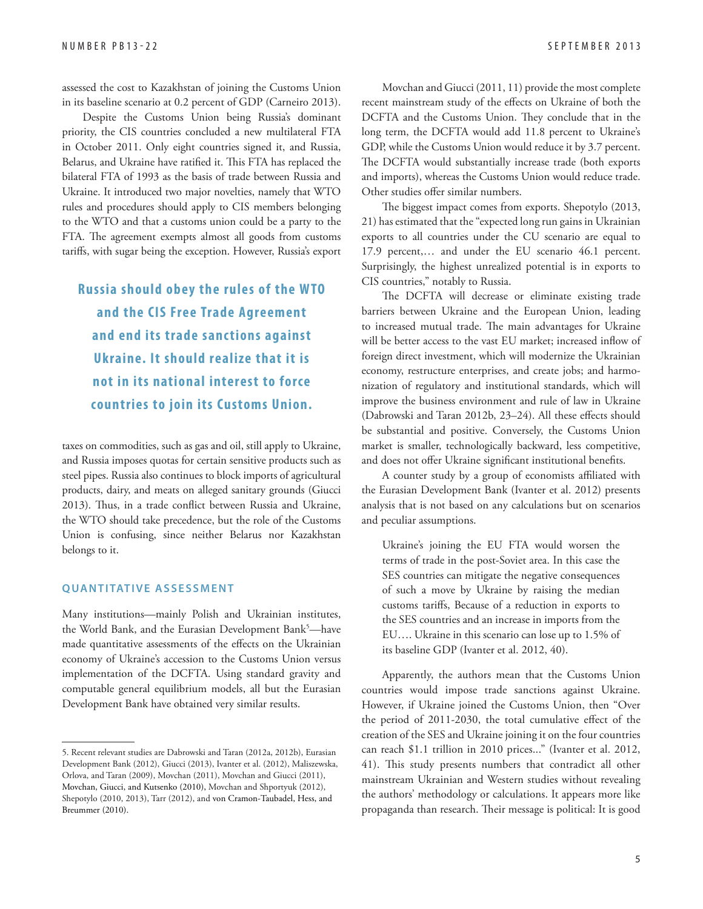assessed the cost to Kazakhstan of joining the Customs Union in its baseline scenario at 0.2 percent of GDP (Carneiro 2013).

Despite the Customs Union being Russia's dominant priority, the CIS countries concluded a new multilateral FTA in October 2011. Only eight countries signed it, and Russia, Belarus, and Ukraine have ratified it. This FTA has replaced the bilateral FTA of 1993 as the basis of trade between Russia and Ukraine. It introduced two major novelties, namely that WTO rules and procedures should apply to CIS members belonging to the WTO and that a customs union could be a party to the FTA. The agreement exempts almost all goods from customs tariffs, with sugar being the exception. However, Russia's export

**Russia should obey the rules of the W TO and the CIS Free Trade Agreement and end its trade sanc tions against Ukraine. It should realize that it is not in its national interest to force countries to join its Customs Union.**

taxes on commodities, such as gas and oil, still apply to Ukraine, and Russia imposes quotas for certain sensitive products such as steel pipes. Russia also continues to block imports of agricultural products, dairy, and meats on alleged sanitary grounds (Giucci 2013). Thus, in a trade conflict between Russia and Ukraine, the WTO should take precedence, but the role of the Customs Union is confusing, since neither Belarus nor Kazakhstan belongs to it.

#### **QUANTITATIVE ASSESSMENT**

Many institutions—mainly Polish and Ukrainian institutes, the World Bank, and the Eurasian Development Bank<sup>5</sup>—have made quantitative assessments of the effects on the Ukrainian economy of Ukraine's accession to the Customs Union versus implementation of the DCFTA. Using standard gravity and computable general equilibrium models, all but the Eurasian Development Bank have obtained very similar results.

Movchan and Giucci (2011, 11) provide the most complete recent mainstream study of the effects on Ukraine of both the DCFTA and the Customs Union. They conclude that in the long term, the DCFTA would add 11.8 percent to Ukraine's GDP, while the Customs Union would reduce it by 3.7 percent. The DCFTA would substantially increase trade (both exports and imports), whereas the Customs Union would reduce trade. Other studies offer similar numbers.

The biggest impact comes from exports. Shepotylo (2013, 21) has estimated that the "expected long run gains in Ukrainian exports to all countries under the CU scenario are equal to 17.9 percent,… and under the EU scenario 46.1 percent. Surprisingly, the highest unrealized potential is in exports to CIS countries," notably to Russia.

The DCFTA will decrease or eliminate existing trade barriers between Ukraine and the European Union, leading to increased mutual trade. The main advantages for Ukraine will be better access to the vast EU market; increased inflow of foreign direct investment, which will modernize the Ukrainian economy, restructure enterprises, and create jobs; and harmonization of regulatory and institutional standards, which will improve the business environment and rule of law in Ukraine (Dabrowski and Taran 2012b, 23-24). All these effects should be substantial and positive. Conversely, the Customs Union market is smaller, technologically backward, less competitive, and does not offer Ukraine significant institutional benefits.

A counter study by a group of economists affiliated with the Eurasian Development Bank (Ivanter et al. 2012) presents analysis that is not based on any calculations but on scenarios and peculiar assumptions.

Ukraine's joining the EU FTA would worsen the terms of trade in the post-Soviet area. In this case the SES countries can mitigate the negative consequences of such a move by Ukraine by raising the median customs tariffs, Because of a reduction in exports to the SES countries and an increase in imports from the EU…. Ukraine in this scenario can lose up to 1.5% of its baseline GDP (Ivanter et al. 2012, 40).

Apparently, the authors mean that the Customs Union countries would impose trade sanctions against Ukraine. However, if Ukraine joined the Customs Union, then "Over the period of 2011-2030, the total cumulative effect of the creation of the SES and Ukraine joining it on the four countries can reach \$1.1 trillion in 2010 prices..." (Ivanter et al. 2012, 41). This study presents numbers that contradict all other mainstream Ukrainian and Western studies without revealing the authors' methodology or calculations. It appears more like propaganda than research. Their message is political: It is good

<sup>5.</sup> Recent relevant studies are Dabrowski and Taran (2012a, 2012b), Eurasian Development Bank (2012), Giucci (2013), Ivanter et al. (2012), Maliszewska, Orlova, and Taran (2009), Movchan (2011), Movchan and Giucci (2011), Movchan, Giucci, and Kutsenko (2010), Movchan and Shportyuk (2012), Shepotylo (2010, 2013), Tarr (2012), and von Cramon-Taubadel, Hess, and Breummer (2010).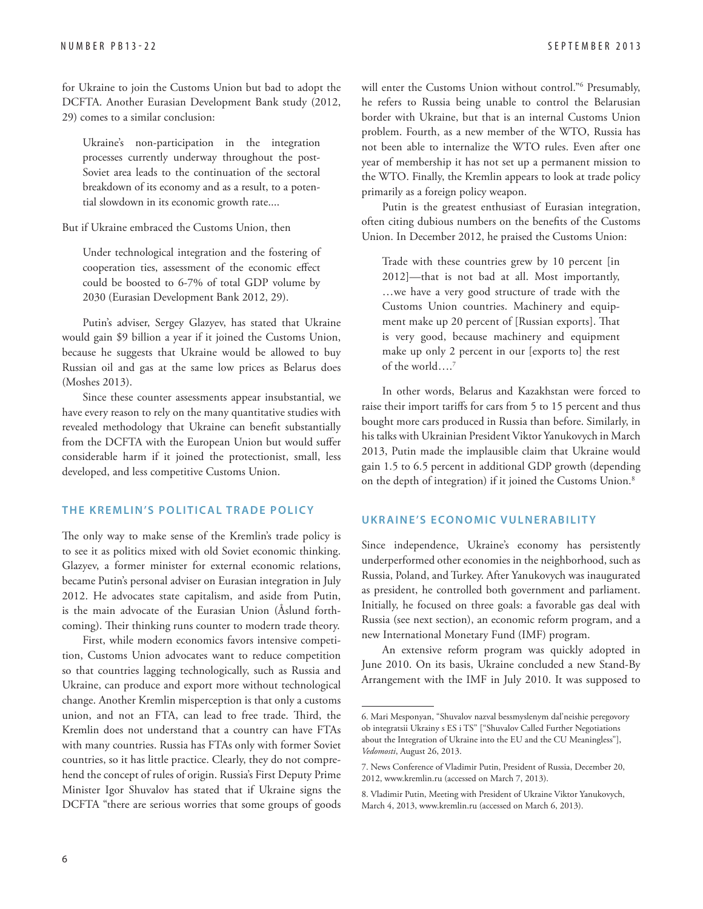for Ukraine to join the Customs Union but bad to adopt the DCFTA. Another Eurasian Development Bank study (2012, 29) comes to a similar conclusion:

Ukraine's non-participation in the integration processes currently underway throughout the post-Soviet area leads to the continuation of the sectoral breakdown of its economy and as a result, to a potential slowdown in its economic growth rate....

But if Ukraine embraced the Customs Union, then

Under technological integration and the fostering of cooperation ties, assessment of the economic effect could be boosted to 6-7% of total GDP volume by 2030 (Eurasian Development Bank 2012, 29).

Putin's adviser, Sergey Glazyev, has stated that Ukraine would gain \$9 billion a year if it joined the Customs Union, because he suggests that Ukraine would be allowed to buy Russian oil and gas at the same low prices as Belarus does (Moshes 2013).

Since these counter assessments appear insubstantial, we have every reason to rely on the many quantitative studies with revealed methodology that Ukraine can benefit substantially from the DCFTA with the European Union but would suffer considerable harm if it joined the protectionist, small, less developed, and less competitive Customs Union.

#### **THE KREMLIN'S POLITICAL TRADE POLICY**

The only way to make sense of the Kremlin's trade policy is to see it as politics mixed with old Soviet economic thinking. Glazyev, a former minister for external economic relations, became Putin's personal adviser on Eurasian integration in July 2012. He advocates state capitalism, and aside from Putin, is the main advocate of the Eurasian Union (Åslund forthcoming). Their thinking runs counter to modern trade theory.

First, while modern economics favors intensive competition, Customs Union advocates want to reduce competition so that countries lagging technologically, such as Russia and Ukraine, can produce and export more without technological change. Another Kremlin misperception is that only a customs union, and not an FTA, can lead to free trade. Third, the Kremlin does not understand that a country can have FTAs with many countries. Russia has FTAs only with former Soviet countries, so it has little practice. Clearly, they do not comprehend the concept of rules of origin. Russia's First Deputy Prime Minister Igor Shuvalov has stated that if Ukraine signs the DCFTA "there are serious worries that some groups of goods

will enter the Customs Union without control."6 Presumably, he refers to Russia being unable to control the Belarusian border with Ukraine, but that is an internal Customs Union problem. Fourth, as a new member of the WTO, Russia has not been able to internalize the WTO rules. Even after one year of membership it has not set up a permanent mission to the WTO. Finally, the Kremlin appears to look at trade policy primarily as a foreign policy weapon.

Putin is the greatest enthusiast of Eurasian integration, often citing dubious numbers on the benefits of the Customs Union. In December 2012, he praised the Customs Union:

Trade with these countries grew by 10 percent [in 2012]—that is not bad at all. Most importantly, …we have a very good structure of trade with the Customs Union countries. Machinery and equipment make up 20 percent of [Russian exports]. That is very good, because machinery and equipment make up only 2 percent in our [exports to] the rest of the world….7

In other words, Belarus and Kazakhstan were forced to raise their import tariffs for cars from 5 to 15 percent and thus bought more cars produced in Russia than before. Similarly, in his talks with Ukrainian President Viktor Yanukovych in March 2013, Putin made the implausible claim that Ukraine would gain 1.5 to 6.5 percent in additional GDP growth (depending on the depth of integration) if it joined the Customs Union.8

#### **UKRAINE'S ECONOMIC VULNERABILITY**

Since independence, Ukraine's economy has persistently underperformed other economies in the neighborhood, such as Russia, Poland, and Turkey. After Yanukovych was inaugurated as president, he controlled both government and parliament. Initially, he focused on three goals: a favorable gas deal with Russia (see next section), an economic reform program, and a new International Monetary Fund (IMF) program.

An extensive reform program was quickly adopted in June 2010. On its basis, Ukraine concluded a new Stand-By Arrangement with the IMF in July 2010. It was supposed to

<sup>6.</sup> Mari Mesponyan, "Shuvalov nazval bessmyslenym dal'neishie peregovory ob integratsii Ukrainy s ES i TS" ["Shuvalov Called Further Negotiations about the Integration of Ukraine into the EU and the CU Meaningless"], *Vedomosti*, August 26, 2013.

<sup>7.</sup> News Conference of Vladimir Putin, President of Russia, December 20, 2012, www.kremlin.ru (accessed on March 7, 2013).

<sup>8.</sup> Vladimir Putin, Meeting with President of Ukraine Viktor Yanukovych, March 4, 2013, www.kremlin.ru (accessed on March 6, 2013).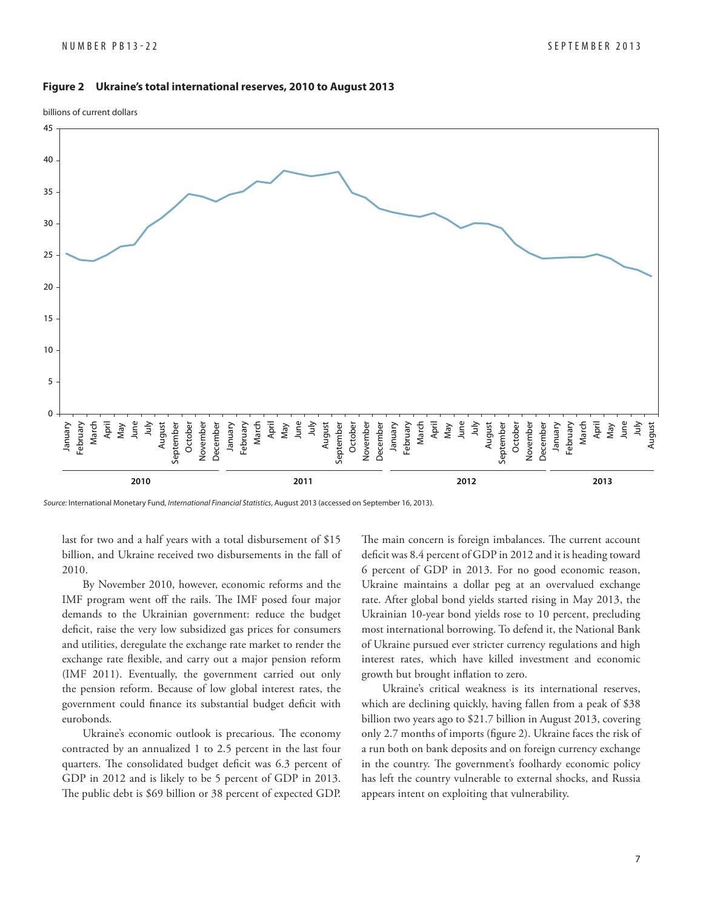#### **Figure 2 Ukraine's total international reserves, 2010 to August 2013**

billions of current dollars



Source: International Monetary Fund, International Financial Statistics, August 2013 (accessed on September 16, 2013).

last for two and a half years with a total disbursement of \$15 billion, and Ukraine received two disbursements in the fall of 2010.

By November 2010, however, economic reforms and the IMF program went off the rails. The IMF posed four major demands to the Ukrainian government: reduce the budget deficit, raise the very low subsidized gas prices for consumers and utilities, deregulate the exchange rate market to render the exchange rate flexible, and carry out a major pension reform (IMF 2011). Eventually, the government carried out only the pension reform. Because of low global interest rates, the government could finance its substantial budget deficit with eurobonds.

Ukraine's economic outlook is precarious. The economy contracted by an annualized 1 to 2.5 percent in the last four quarters. The consolidated budget deficit was 6.3 percent of GDP in 2012 and is likely to be 5 percent of GDP in 2013. The public debt is \$69 billion or 38 percent of expected GDP.

The main concern is foreign imbalances. The current account deficit was 8.4 percent of GDP in 2012 and it is heading toward 6 percent of GDP in 2013. For no good economic reason, Ukraine maintains a dollar peg at an overvalued exchange rate. After global bond yields started rising in May 2013, the Ukrainian 10-year bond yields rose to 10 percent, precluding most international borrowing. To defend it, the National Bank of Ukraine pursued ever stricter currency regulations and high interest rates, which have killed investment and economic growth but brought inflation to zero.

Ukraine's critical weakness is its international reserves, which are declining quickly, having fallen from a peak of \$38 billion two years ago to \$21.7 billion in August 2013, covering only 2.7 months of imports (figure 2). Ukraine faces the risk of a run both on bank deposits and on foreign currency exchange in the country. The government's foolhardy economic policy has left the country vulnerable to external shocks, and Russia appears intent on exploiting that vulnerability.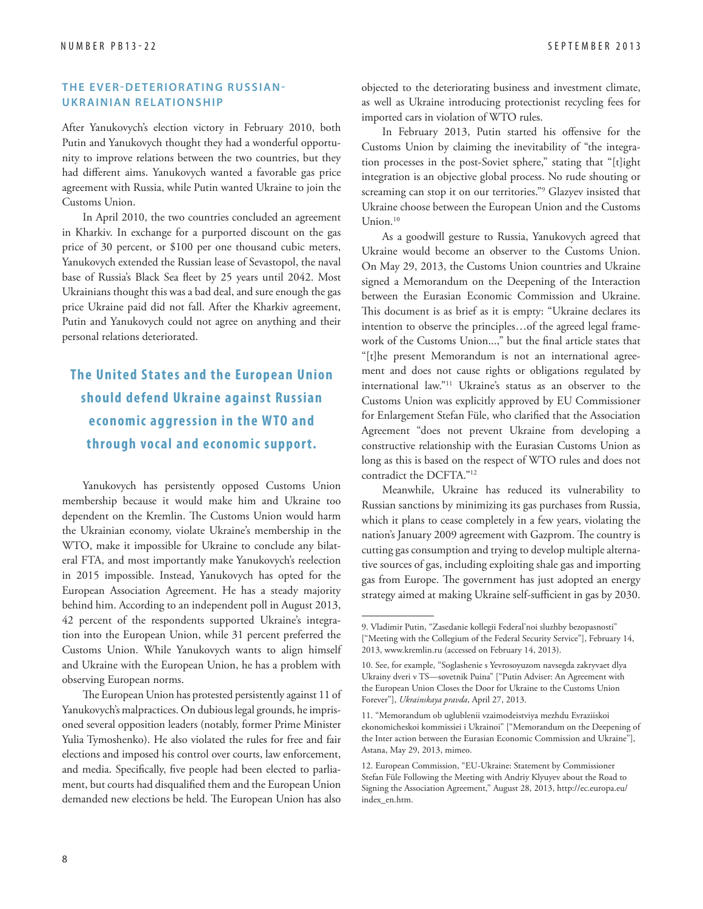#### **THE EVER-DETERIORATING RUSSIAN-UKRAINIAN RELATIONSHIP**

After Yanukovych's election victory in February 2010, both Putin and Yanukovych thought they had a wonderful opportunity to improve relations between the two countries, but they had different aims. Yanukovych wanted a favorable gas price agreement with Russia, while Putin wanted Ukraine to join the Customs Union.

In April 2010, the two countries concluded an agreement in Kharkiv. In exchange for a purported discount on the gas price of 30 percent, or \$100 per one thousand cubic meters, Yanukovych extended the Russian lease of Sevastopol, the naval base of Russia's Black Sea fleet by 25 years until 2042. Most Ukrainians thought this was a bad deal, and sure enough the gas price Ukraine paid did not fall. After the Kharkiv agreement, Putin and Yanukovych could not agree on anything and their personal relations deteriorated.

### **The United States and the European Union should defend Ukraine against Russian economic aggression in the W TO and through vocal and economic support.**

Yanukovych has persistently opposed Customs Union membership because it would make him and Ukraine too dependent on the Kremlin. The Customs Union would harm the Ukrainian economy, violate Ukraine's membership in the WTO, make it impossible for Ukraine to conclude any bilateral FTA, and most importantly make Yanukovych's reelection in 2015 impossible. Instead, Yanukovych has opted for the European Association Agreement. He has a steady majority behind him. According to an independent poll in August 2013, 42 percent of the respondents supported Ukraine's integration into the European Union, while 31 percent preferred the Customs Union. While Yanukovych wants to align himself and Ukraine with the European Union, he has a problem with observing European norms.

The European Union has protested persistently against 11 of Yanukovych's malpractices. On dubious legal grounds, he imprisoned several opposition leaders (notably, former Prime Minister Yulia Tymoshenko). He also violated the rules for free and fair elections and imposed his control over courts, law enforcement, and media. Specifically, five people had been elected to parliament, but courts had disqualified them and the European Union demanded new elections be held. The European Union has also

objected to the deteriorating business and investment climate, as well as Ukraine introducing protectionist recycling fees for imported cars in violation of WTO rules.

In February 2013, Putin started his offensive for the Customs Union by claiming the inevitability of "the integration processes in the post-Soviet sphere," stating that "[t]ight integration is an objective global process. No rude shouting or screaming can stop it on our territories."9 Glazyev insisted that Ukraine choose between the European Union and the Customs Union.<sup>10</sup>

As a goodwill gesture to Russia, Yanukovych agreed that Ukraine would become an observer to the Customs Union. On May 29, 2013, the Customs Union countries and Ukraine signed a Memorandum on the Deepening of the Interaction between the Eurasian Economic Commission and Ukraine. This document is as brief as it is empty: "Ukraine declares its intention to observe the principles…of the agreed legal framework of the Customs Union...," but the final article states that "[t]he present Memorandum is not an international agreement and does not cause rights or obligations regulated by international law."11 Ukraine's status as an observer to the Customs Union was explicitly approved by EU Commissioner for Enlargement Stefan Füle, who clarified that the Association Agreement "does not prevent Ukraine from developing a constructive relationship with the Eurasian Customs Union as long as this is based on the respect of WTO rules and does not contradict the DCFTA."12

Meanwhile, Ukraine has reduced its vulnerability to Russian sanctions by minimizing its gas purchases from Russia, which it plans to cease completely in a few years, violating the nation's January 2009 agreement with Gazprom. The country is cutting gas consumption and trying to develop multiple alternative sources of gas, including exploiting shale gas and importing gas from Europe. The government has just adopted an energy strategy aimed at making Ukraine self-sufficient in gas by 2030.

<sup>9.</sup> Vladimir Putin, "Zasedanie kollegii Federal'noi sluzhby bezopasnosti" ["Meeting with the Collegium of the Federal Security Service"], February 14, 2013, www.kremlin.ru (accessed on February 14, 2013).

<sup>10.</sup> See, for example, "Soglashenie s Yevrosoyuzom navsegda zakryvaet dlya Ukrainy dveri v TS—sovetnik Puina" ["Putin Adviser: An Agreement with the European Union Closes the Door for Ukraine to the Customs Union Forever"], *Ukrainskaya pravda*, April 27, 2013.

<sup>11. &</sup>quot;Memorandum ob uglublenii vzaimodeistviya mezhdu Evraziiskoi ekonomicheskoi kommissiei i Ukrainoi" ["Memorandum on the Deepening of the Inter action between the Eurasian Economic Commission and Ukraine"], Astana, May 29, 2013, mimeo.

<sup>12.</sup> European Commission, "EU-Ukraine: Statement by Commissioner Stefan Füle Following the Meeting with Andriy Klyuyev about the Road to [Signing the Association Agreement," August 28, 2013, http://ec.europa.eu/](http://ec.europa.eu/index_en.htm) index\_en.htm.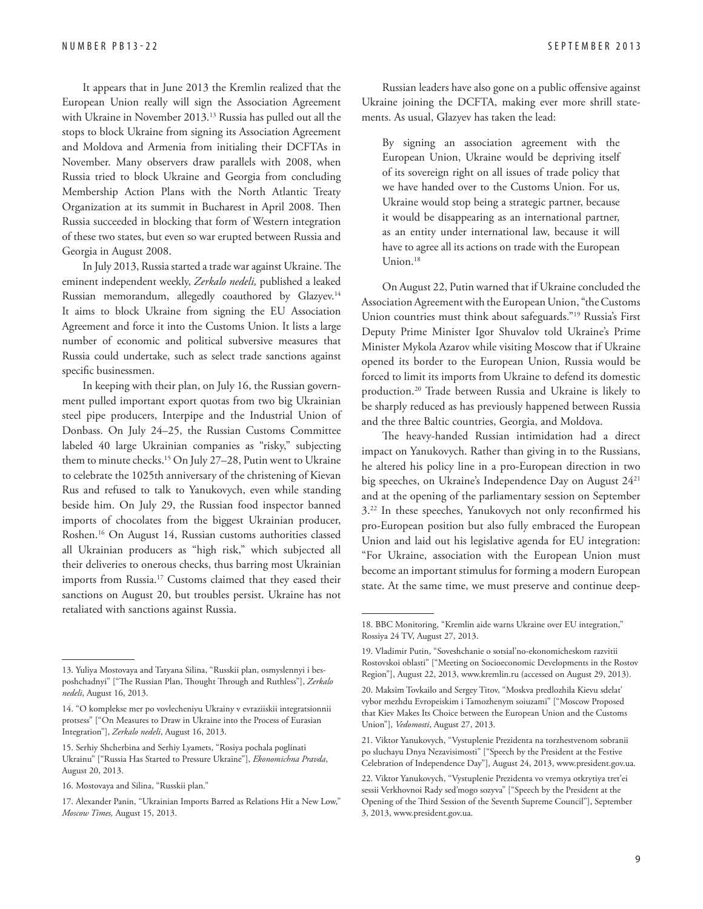It appears that in June 2013 the Kremlin realized that the European Union really will sign the Association Agreement with Ukraine in November 2013.<sup>13</sup> Russia has pulled out all the stops to block Ukraine from signing its Association Agreement and Moldova and Armenia from initialing their DCFTAs in November. Many observers draw parallels with 2008, when Russia tried to block Ukraine and Georgia from concluding Membership Action Plans with the North Atlantic Treaty Organization at its summit in Bucharest in April 2008. Then Russia succeeded in blocking that form of Western integration of these two states, but even so war erupted between Russia and Georgia in August 2008.

In July 2013, Russia started a trade war against Ukraine. The eminent independent weekly, *Zerkalo nedeli,* published a leaked Russian memorandum, allegedly coauthored by Glazyev.<sup>14</sup> It aims to block Ukraine from signing the EU Association Agreement and force it into the Customs Union. It lists a large number of economic and political subversive measures that Russia could undertake, such as select trade sanctions against specific businessmen.

In keeping with their plan, on July 16, the Russian government pulled important export quotas from two big Ukrainian steel pipe producers, Interpipe and the Industrial Union of Donbass. On July 24–25, the Russian Customs Committee labeled 40 large Ukrainian companies as "risky," subjecting them to minute checks.<sup>15</sup> On July 27-28, Putin went to Ukraine to celebrate the 1025th anniversary of the christening of Kievan Rus and refused to talk to Yanukovych, even while standing beside him. On July 29, the Russian food inspector banned imports of chocolates from the biggest Ukrainian producer, Roshen.16 On August 14, Russian customs authorities classed all Ukrainian producers as "high risk," which subjected all their deliveries to onerous checks, thus barring most Ukrainian imports from Russia.17 Customs claimed that they eased their sanctions on August 20, but troubles persist. Ukraine has not retaliated with sanctions against Russia.

Russian leaders have also gone on a public offensive against Ukraine joining the DCFTA, making ever more shrill statements. As usual, Glazyev has taken the lead:

By signing an association agreement with the European Union, Ukraine would be depriving itself of its sovereign right on all issues of trade policy that we have handed over to the Customs Union. For us, Ukraine would stop being a strategic partner, because it would be disappearing as an international partner, as an entity under international law, because it will have to agree all its actions on trade with the European Union.18

On August 22, Putin warned that if Ukraine concluded the Association Agreement with the European Union, "the Customs Union countries must think about safeguards."19 Russia's First Deputy Prime Minister Igor Shuvalov told Ukraine's Prime Minister Mykola Azarov while visiting Moscow that if Ukraine opened its border to the European Union, Russia would be forced to limit its imports from Ukraine to defend its domestic production.20 Trade between Russia and Ukraine is likely to be sharply reduced as has previously happened between Russia and the three Baltic countries, Georgia, and Moldova.

The heavy-handed Russian intimidation had a direct impact on Yanukovych. Rather than giving in to the Russians, he altered his policy line in a pro-European direction in two big speeches, on Ukraine's Independence Day on August 2421 and at the opening of the parliamentary session on September 3.<sup>22</sup> In these speeches, Yanukovych not only reconfirmed his pro-European position but also fully embraced the European Union and laid out his legislative agenda for EU integration: "For Ukraine, association with the European Union must become an important stimulus for forming a modern European state. At the same time, we must preserve and continue deep-

<sup>13.</sup> Yuliya Mostovaya and Tatyana Silina, "Russkii plan, osmyslennyi i besposhchadnyi" ["The Russian Plan, Thought Through and Ruthless"], *Zerkalo nedeli*, August 16, 2013.

<sup>14. &</sup>quot;O komplekse mer po vovlecheniyu Ukrainy v evraziiskii integratsionnii protsess" ["On Measures to Draw in Ukraine into the Process of Eurasian Integration"], *Zerkalo nedeli*, August 16, 2013.

<sup>15.</sup> Serhiy Shcherbina and Serhiy Lyamets, "Rosiya pochala poglinati Ukrainu" ["Russia Has Started to Pressure Ukraine"], *Ekonomichna Pravda*, August 20, 2013.

<sup>16.</sup> Mostovaya and Silina, "Russkii plan."

<sup>17.</sup> Alexander Panin, "Ukrainian Imports Barred as Relations Hit a New Low," *Moscow Times,* August 15, 2013.

<sup>18.</sup> BBC Monitoring, "Kremlin aide warns Ukraine over EU integration," Rossiya 24 TV, August 27, 2013.

<sup>19.</sup> Vladimir Putin, "Soveshchanie o sotsial'no-ekonomicheskom razvitii Rostovskoi oblasti" ["Meeting on Socioeconomic Developments in the Rostov Region"], August 22, 2013, www.kremlin.ru (accessed on August 29, 2013).

<sup>20.</sup> Maksim Tovkailo and Sergey Titov, "Moskva predlozhila Kievu sdelat' vybor mezhdu Evropeiskim i Tamozhenym soiuzami" ["Moscow Proposed that Kiev Makes Its Choice between the European Union and the Customs Union"], *Vedomosti*, August 27, 2013.

<sup>21.</sup> Viktor Yanukovych, "Vystuplenie Prezidenta na torzhestvenom sobranii po sluchayu Dnya Nezavisimosti" ["Speech by the President at the Festive Celebration of Independence Day"], August 24, 2013, www.president.gov.ua.

<sup>22.</sup> Viktor Yanukovych, "Vystuplenie Prezidenta vo vremya otkrytiya tret'ei sessii Verkhovnoi Rady sed'mogo sozyva" ["Speech by the President at the Opening of the Third Session of the Seventh Supreme Council"], September 3, 2013, www.president.gov.ua.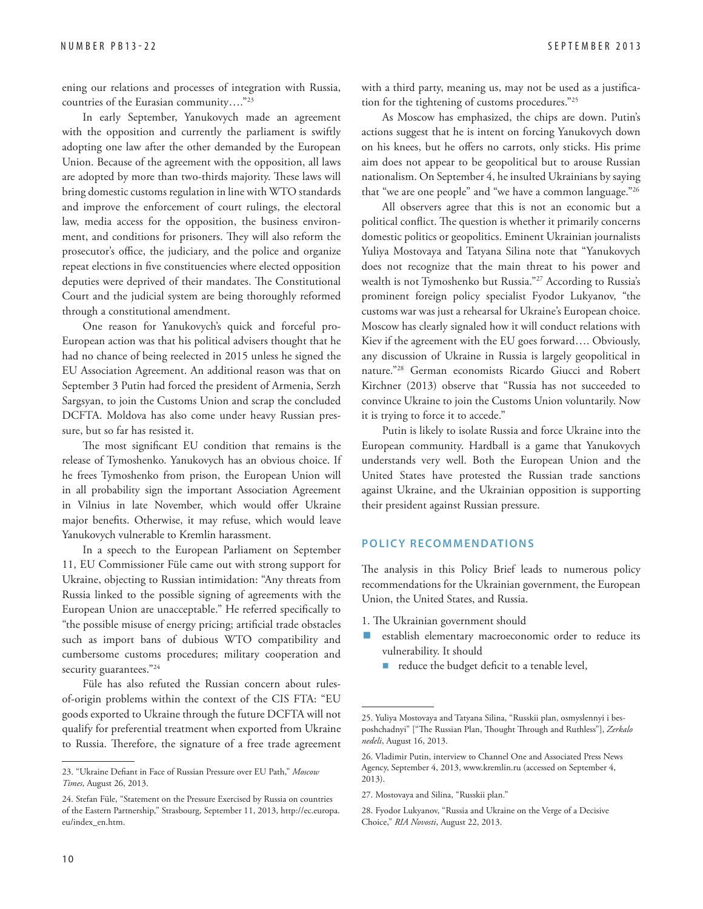ening our relations and processes of integration with Russia, countries of the Eurasian community…."23

In early September, Yanukovych made an agreement with the opposition and currently the parliament is swiftly adopting one law after the other demanded by the European Union. Because of the agreement with the opposition, all laws are adopted by more than two-thirds majority. These laws will bring domestic customs regulation in line with WTO standards and improve the enforcement of court rulings, the electoral law, media access for the opposition, the business environment, and conditions for prisoners. They will also reform the prosecutor's office, the judiciary, and the police and organize repeat elections in five constituencies where elected opposition deputies were deprived of their mandates. The Constitutional Court and the judicial system are being thoroughly reformed through a constitutional amendment.

One reason for Yanukovych's quick and forceful pro-European action was that his political advisers thought that he had no chance of being reelected in 2015 unless he signed the EU Association Agreement. An additional reason was that on September 3 Putin had forced the president of Armenia, Serzh Sargsyan, to join the Customs Union and scrap the concluded DCFTA. Moldova has also come under heavy Russian pressure, but so far has resisted it.

The most significant EU condition that remains is the release of Tymoshenko. Yanukovych has an obvious choice. If he frees Tymoshenko from prison, the European Union will in all probability sign the important Association Agreement in Vilnius in late November, which would offer Ukraine major benefits. Otherwise, it may refuse, which would leave Yanukovych vulnerable to Kremlin harassment.

In a speech to the European Parliament on September 11, EU Commissioner Füle came out with strong support for Ukraine, objecting to Russian intimidation: "Any threats from Russia linked to the possible signing of agreements with the European Union are unacceptable." He referred specifically to "the possible misuse of energy pricing; artificial trade obstacles such as import bans of dubious WTO compatibility and cumbersome customs procedures; military cooperation and security guarantees."<sup>24</sup>

Füle has also refuted the Russian concern about rulesof-origin problems within the context of the CIS FTA: "EU goods exported to Ukraine through the future DCFTA will not qualify for preferential treatment when exported from Ukraine to Russia. Therefore, the signature of a free trade agreement with a third party, meaning us, may not be used as a justification for the tightening of customs procedures."25

As Moscow has emphasized, the chips are down. Putin's actions suggest that he is intent on forcing Yanukovych down on his knees, but he offers no carrots, only sticks. His prime aim does not appear to be geopolitical but to arouse Russian nationalism. On September 4, he insulted Ukrainians by saying that "we are one people" and "we have a common language."26

All observers agree that this is not an economic but a political conflict. The question is whether it primarily concerns domestic politics or geopolitics. Eminent Ukrainian journalists Yuliya Mostovaya and Tatyana Silina note that "Yanukovych does not recognize that the main threat to his power and wealth is not Tymoshenko but Russia."<sup>27</sup> According to Russia's prominent foreign policy specialist Fyodor Lukyanov, "the customs war was just a rehearsal for Ukraine's European choice. Moscow has clearly signaled how it will conduct relations with Kiev if the agreement with the EU goes forward…. Obviously, any discussion of Ukraine in Russia is largely geopolitical in nature."28 German economists Ricardo Giucci and Robert Kirchner (2013) observe that "Russia has not succeeded to convince Ukraine to join the Customs Union voluntarily. Now it is trying to force it to accede."

Putin is likely to isolate Russia and force Ukraine into the European community. Hardball is a game that Yanukovych understands very well. Both the European Union and the United States have protested the Russian trade sanctions against Ukraine, and the Ukrainian opposition is supporting their president against Russian pressure.

#### **POLICY RECOMMENDATIONS**

The analysis in this Policy Brief leads to numerous policy recommendations for the Ukrainian government, the European Union, the United States, and Russia.

- 1. The Ukrainian government should
- **E** establish elementary macroeconomic order to reduce its vulnerability. It should
	- $\blacksquare$  reduce the budget deficit to a tenable level,

<sup>23. &</sup>quot;Ukraine Defiant in Face of Russian Pressure over EU Path," Moscow *Times*, August 26, 2013.

<sup>24.</sup> Stefan Füle, "Statement on the Pressure Exercised by Russia on countries [of the Eastern Partnership," Strasbourg, September 11, 2013, http://ec.europa.](http://ec.europa.eu/index_en.htm) eu/index\_en.htm.

<sup>25.</sup> Yuliya Mostovaya and Tatyana Silina, "Russkii plan, osmyslennyi i besposhchadnyi" ["The Russian Plan, Thought Through and Ruthless"], Zerkalo *nedeli*, August 16, 2013.

<sup>26.</sup> Vladimir Putin, interview to Channel One and Associated Press News Agency, September 4, 2013, www.kremlin.ru (accessed on September 4, 2013).

<sup>27.</sup> Mostovaya and Silina, "Russkii plan."

<sup>28.</sup> Fyodor Lukyanov, "Russia and Ukraine on the Verge of a Decisive Choice," *RIA Novosti*, August 22, 2013.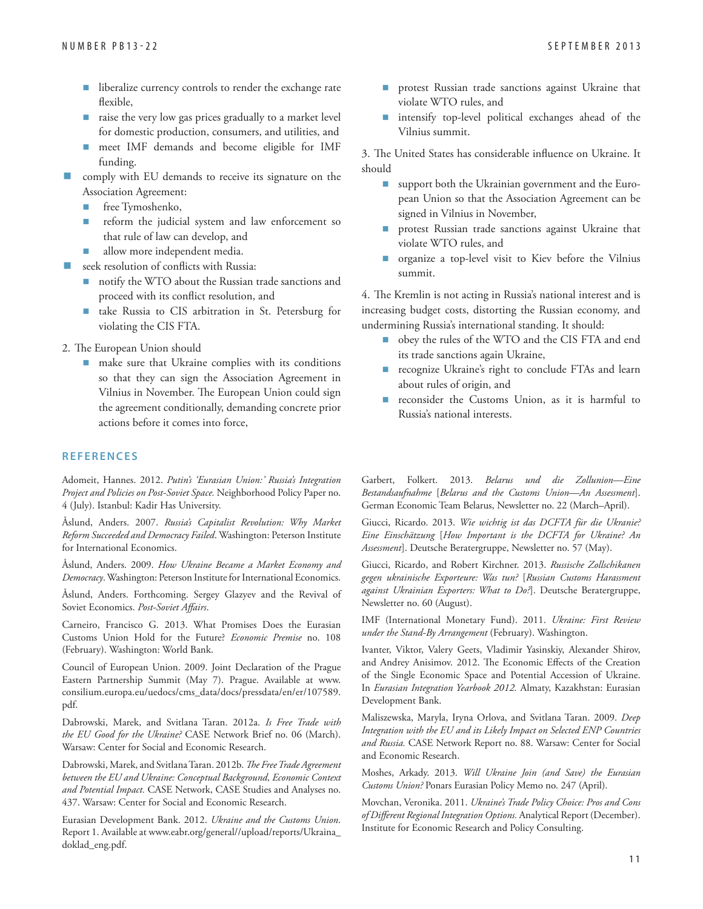- liberalize currency controls to render the exchange rate flexible,
- raise the very low gas prices gradually to a market level for domestic production, consumers, and utilities, and
- meet IMF demands and become eligible for IMF funding.
- comply with EU demands to receive its signature on the Association Agreement:
	- free Tymoshenko,
	- reform the judicial system and law enforcement so that rule of law can develop, and
	- allow more independent media.
- seek resolution of conflicts with Russia:
	- notify the WTO about the Russian trade sanctions and proceed with its conflict resolution, and
	- take Russia to CIS arbitration in St. Petersburg for violating the CIS FTA.
- 2. The European Union should
	- make sure that Ukraine complies with its conditions so that they can sign the Association Agreement in Vilnius in November. The European Union could sign the agreement conditionally, demanding concrete prior actions before it comes into force,

#### **REFERENCES**

Adomeit, Hannes. 2012. *Putin's 'Eurasian Union:' Russia's Integration Project and Policies on Post-Soviet Space.* Neighborhood Policy Paper no. 4 (July). Istanbul: Kadir Has University.

Åslund, Anders. 2007. *Russia's Capitalist Revolution: Why Market Reform Succeeded and Democracy Failed*. Washington: Peterson Institute for International Economics.

Åslund, Anders. 2009. *How Ukraine Became a Market Economy and Democracy*. Washington: Peterson Institute for International Economics.

Åslund, Anders. Forthcoming. Sergey Glazyev and the Revival of Soviet Economics. Post-Soviet Affairs.

Carneiro, Francisco G. 2013. What Promises Does the Eurasian Customs Union Hold for the Future? *Economic Premise* no. 108 (February). Washington: World Bank.

Council of European Union. 2009. Joint Declaration of the Prague [Eastern Partnership Summit \(May 7\). Prague. Available at www.](www.consilium.europa.eu/uedocs/cms_data/docs/pressdata/en/er/107589.pdf) consilium.europa.eu/uedocs/cms\_data/docs/pressdata/en/er/107589. pdf.

Dabrowski, Marek, and Svitlana Taran. 2012a. *Is Free Trade with the EU Good for the Ukraine?* CASE Network Brief no. 06 (March). Warsaw: Center for Social and Economic Research.

Dabrowski, Marek, and Svitlana Taran. 2012b. *The Free Trade Agreement between the EU and Ukraine: Conceptual Background, Economic Context and Potential Impact.* CASE Network, CASE Studies and Analyses no. 437. Warsaw: Center for Social and Economic Research.

Eurasian Development Bank. 2012. *Ukraine and the Customs Union*. [Report 1. Available at www.eabr.org/general//upload/reports/Ukraina\\_](www.eabr.org/general//upload/reports/Ukraina_doklad_eng.pdf) doklad\_eng.pdf.

- protest Russian trade sanctions against Ukraine that violate WTO rules, and
- intensify top-level political exchanges ahead of the Vilnius summit.

3. The United States has considerable influence on Ukraine. It should

- support both the Ukrainian government and the European Union so that the Association Agreement can be signed in Vilnius in November,
- **protest Russian trade sanctions against Ukraine that** violate WTO rules, and
- organize a top-level visit to Kiev before the Vilnius summit.

4. The Kremlin is not acting in Russia's national interest and is increasing budget costs, distorting the Russian economy, and undermining Russia's international standing. It should:

- obey the rules of the WTO and the CIS FTA and end its trade sanctions again Ukraine,
- recognize Ukraine's right to conclude FTAs and learn about rules of origin, and
- reconsider the Customs Union, as it is harmful to Russia's national interests.

Garbert, Folkert. 2013. *Belarus und die Zollunion—Eine Bestandsaufnahme* [*Belarus and the Customs Union—An Assessment*]. German Economic Team Belarus, Newsletter no. 22 (March–April).

Giucci, Ricardo. 2013. *Wie wichtig ist das DCFTA für die Ukranie? Eine Einschätzung* [*How Important is the DCFTA for Ukraine? An Assessment*]. Deutsche Beratergruppe, Newsletter no. 57 (May).

Giucci, Ricardo, and Robert Kirchner. 2013. *Russische Zollschikanen gegen ukrainische Exporteure: Was tun?* [*Russian Customs Harassment against Ukrainian Exporters: What to Do?*]. Deutsche Beratergruppe, Newsletter no. 60 (August).

IMF (International Monetary Fund). 2011. *Ukraine: First Review under the Stand-By Arrangement* (February). Washington.

Ivanter, Viktor, Valery Geets, Vladimir Yasinskiy, Alexander Shirov, and Andrey Anisimov. 2012. The Economic Effects of the Creation of the Single Economic Space and Potential Accession of Ukraine. In *Eurasian Integration Yearbook 2012.* Almaty, Kazakhstan: Eurasian Development Bank.

Maliszewska, Maryla, Iryna Orlova, and Svitlana Taran. 2009. *Deep Integration with the EU and its Likely Impact on Selected ENP Countries and Russia.* CASE Network Report no. 88. Warsaw: Center for Social and Economic Research.

Moshes, Arkady. 2013. *Will Ukraine Join (and Save) the Eurasian Customs Union?* Ponars Eurasian Policy Memo no. 247 (April).

Movchan, Veronika. 2011. *Ukraine's Trade Policy Choice: Pros and Cons*  of Different Regional Integration Options. Analytical Report (December). Institute for Economic Research and Policy Consulting.